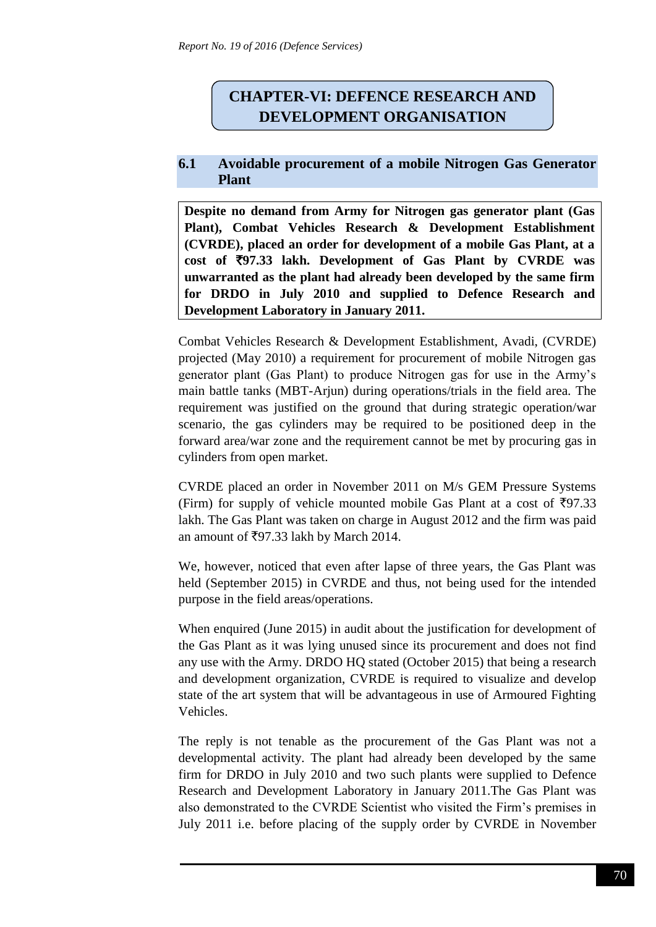## **CHAPTER-VI: DEFENCE RESEARCH AND DEVELOPMENT ORGANISATION**

## **6.1 Avoidable procurement of a mobile Nitrogen Gas Generator Plant**

**Despite no demand from Army for Nitrogen gas generator plant (Gas Plant), Combat Vehicles Research & Development Establishment (CVRDE), placed an order for development of a mobile Gas Plant, at a cost of** `**97.33 lakh. Development of Gas Plant by CVRDE was unwarranted as the plant had already been developed by the same firm for DRDO in July 2010 and supplied to Defence Research and Development Laboratory in January 2011.**

Combat Vehicles Research & Development Establishment, Avadi, (CVRDE) projected (May 2010) a requirement for procurement of mobile Nitrogen gas generator plant (Gas Plant) to produce Nitrogen gas for use in the Army's main battle tanks (MBT-Arjun) during operations/trials in the field area. The requirement was justified on the ground that during strategic operation/war scenario, the gas cylinders may be required to be positioned deep in the forward area/war zone and the requirement cannot be met by procuring gas in cylinders from open market.

CVRDE placed an order in November 2011 on M/s GEM Pressure Systems (Firm) for supply of vehicle mounted mobile Gas Plant at a cost of  $\overline{5}97.33$ lakh. The Gas Plant was taken on charge in August 2012 and the firm was paid an amount of  $\text{\textsterling}97.33$  lakh by March 2014.

We, however, noticed that even after lapse of three years, the Gas Plant was held (September 2015) in CVRDE and thus, not being used for the intended purpose in the field areas/operations.

When enquired (June 2015) in audit about the justification for development of the Gas Plant as it was lying unused since its procurement and does not find any use with the Army. DRDO HQ stated (October 2015) that being a research and development organization, CVRDE is required to visualize and develop state of the art system that will be advantageous in use of Armoured Fighting Vehicles.

The reply is not tenable as the procurement of the Gas Plant was not a developmental activity. The plant had already been developed by the same firm for DRDO in July 2010 and two such plants were supplied to Defence Research and Development Laboratory in January 2011.The Gas Plant was also demonstrated to the CVRDE Scientist who visited the Firm's premises in July 2011 i.e. before placing of the supply order by CVRDE in November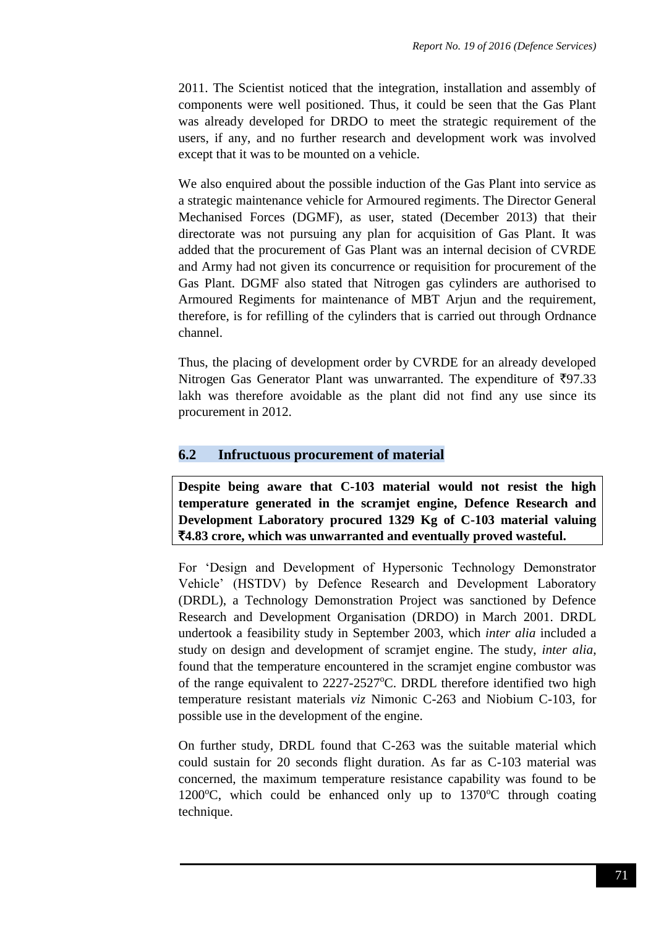2011. The Scientist noticed that the integration, installation and assembly of components were well positioned. Thus, it could be seen that the Gas Plant was already developed for DRDO to meet the strategic requirement of the users, if any, and no further research and development work was involved except that it was to be mounted on a vehicle.

We also enquired about the possible induction of the Gas Plant into service as a strategic maintenance vehicle for Armoured regiments. The Director General Mechanised Forces (DGMF), as user, stated (December 2013) that their directorate was not pursuing any plan for acquisition of Gas Plant. It was added that the procurement of Gas Plant was an internal decision of CVRDE and Army had not given its concurrence or requisition for procurement of the Gas Plant. DGMF also stated that Nitrogen gas cylinders are authorised to Armoured Regiments for maintenance of MBT Arjun and the requirement, therefore, is for refilling of the cylinders that is carried out through Ordnance channel.

Thus, the placing of development order by CVRDE for an already developed Nitrogen Gas Generator Plant was unwarranted. The expenditure of  $\overline{5}97.33$ lakh was therefore avoidable as the plant did not find any use since its procurement in 2012.

## **6.2 Infructuous procurement of material**

**Despite being aware that C-103 material would not resist the high temperature generated in the scramjet engine, Defence Research and Development Laboratory procured 1329 Kg of C-103 material valuing**  `**4.83 crore, which was unwarranted and eventually proved wasteful.**

For 'Design and Development of Hypersonic Technology Demonstrator Vehicle' (HSTDV) by Defence Research and Development Laboratory (DRDL), a Technology Demonstration Project was sanctioned by Defence Research and Development Organisation (DRDO) in March 2001. DRDL undertook a feasibility study in September 2003, which *inter alia* included a study on design and development of scramjet engine. The study, *inter alia*, found that the temperature encountered in the scramjet engine combustor was of the range equivalent to  $2227-2527$ °C. DRDL therefore identified two high temperature resistant materials *viz* Nimonic C-263 and Niobium C-103, for possible use in the development of the engine.

On further study, DRDL found that C-263 was the suitable material which could sustain for 20 seconds flight duration. As far as C-103 material was concerned, the maximum temperature resistance capability was found to be 1200 $\degree$ C, which could be enhanced only up to 1370 $\degree$ C through coating technique.